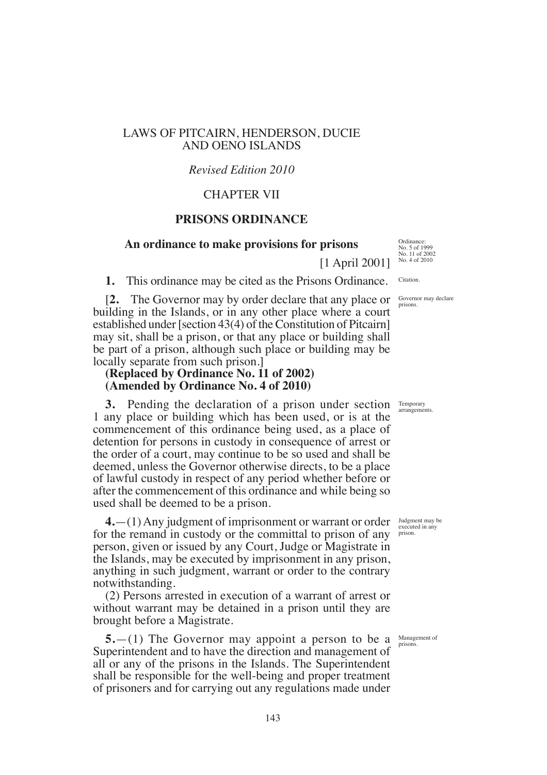# LAWS OF PITCAIRN, HENDERSON, DUCIE AND OENO ISLANDS

### *Revised Edition 2010*

### CHAPTER VII

# **PRISONS ORDINANCE**

### **An ordinance to make provisions for prisons**

[1 April 2001]

**1.** This ordinance may be cited as the Prisons Ordinance.

[**2.** The Governor may by order declare that any place or building in the Islands, or in any other place where a court established under [section 43(4) of the Constitution of Pitcairn] may sit, shall be a prison, or that any place or building shall be part of a prison, although such place or building may be locally separate from such prison.]

# **(Replaced by Ordinance No. 11 of 2002) (Amended by Ordinance No. 4 of 2010)**

**3.** Pending the declaration of a prison under section Temporary 1 any place or building which has been used, or is at the commencement of this ordinance being used, as a place of detention for persons in custody in consequence of arrest or the order of a court, may continue to be so used and shall be deemed, unless the Governor otherwise directs, to be a place of lawful custody in respect of any period whether before or after the commencement of this ordinance and while being so used shall be deemed to be a prison.

**4.**—(1) Any judgment of imprisonment or warrant or order for the remand in custody or the committal to prison of any person, given or issued by any Court, Judge or Magistrate in the Islands, may be executed by imprisonment in any prison, anything in such judgment, warrant or order to the contrary notwithstanding.

(2) Persons arrested in execution of a warrant of arrest or without warrant may be detained in a prison until they are brought before a Magistrate.

**5.**—(1) The Governor may appoint a person to be a Superintendent and to have the direction and management of all or any of the prisons in the Islands. The Superintendent shall be responsible for the well-being and proper treatment of prisoners and for carrying out any regulations made under

Ordinance: No. 5 of 1999 No. 11 of 2002 No. 4 of 2010

Citation.

Governor may declare prisons.

arrangements.

Judgment may be executed in any prison.

Management of prisons.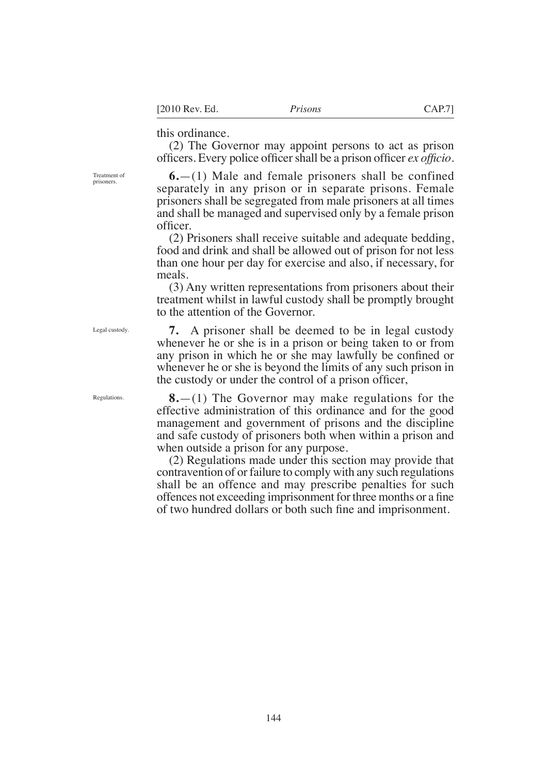### this ordinance.

(2) The Governor may appoint persons to act as prison officers. Every police officer shall be a prison officer *ex officio*.

**6.**—(1) Male and female prisoners shall be confined separately in any prison or in separate prisons. Female prisoners shall be segregated from male prisoners at all times and shall be managed and supervised only by a female prison officer.

(2) Prisoners shall receive suitable and adequate bedding, food and drink and shall be allowed out of prison for not less than one hour per day for exercise and also, if necessary, for meals.

(3) Any written representations from prisoners about their treatment whilst in lawful custody shall be promptly brought to the attention of the Governor.

**7.** A prisoner shall be deemed to be in legal custody whenever he or she is in a prison or being taken to or from any prison in which he or she may lawfully be confned or whenever he or she is beyond the limits of any such prison in the custody or under the control of a prison officer,

**8.**—(1) The Governor may make regulations for the effective administration of this ordinance and for the good management and government of prisons and the discipline and safe custody of prisoners both when within a prison and when outside a prison for any purpose.

(2) Regulations made under this section may provide that contravention of or failure to comply with any such regulations shall be an offence and may prescribe penalties for such offences not exceeding imprisonment for three months or a fine of two hundred dollars or both such fne and imprisonment.

Treatment of prisoners.

Legal custody.

Regulations.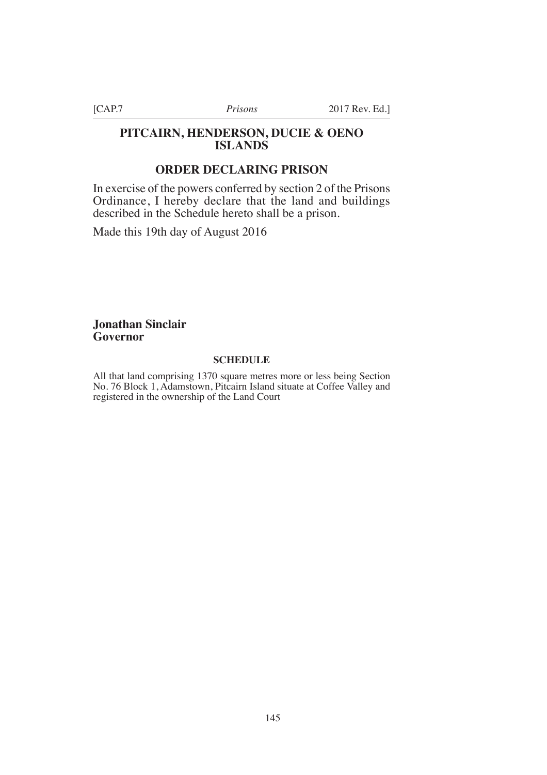# **PITCAIRN, HENDERSON, DUCIE & OENO ISLANDS**

# **ORDER DECLARING PRISON**

In exercise of the powers conferred by section 2 of the Prisons Ordinance, I hereby declare that the land and buildings described in the Schedule hereto shall be a prison.

Made this 19th day of August 2016

# **Jonathan Sinclair Governor**

### **SCHEDULE**

All that land comprising 1370 square metres more or less being Section No. 76 Block 1, Adamstown, Pitcairn Island situate at Coffee Valley and registered in the ownership of the Land Court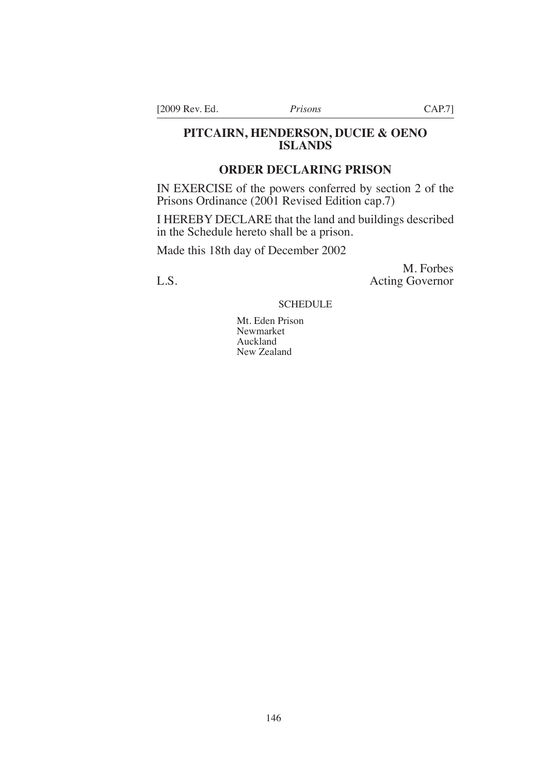[2009 Rev. Ed. *Prisons* CAP.7]

# **PITCAIRN, HENDERSON, DUCIE & OENO ISLANDS**

# **ORDER DECLARING PRISON**

IN EXERCISE of the powers conferred by section 2 of the Prisons Ordinance (2001 Revised Edition cap.7)

I HEREBY DECLARE that the land and buildings described in the Schedule hereto shall be a prison.

Made this 18th day of December 2002

M. Forbes L.S. Acting Governor

**SCHEDULE** 

Mt. Eden Prison Newmarket Auckland New Zealand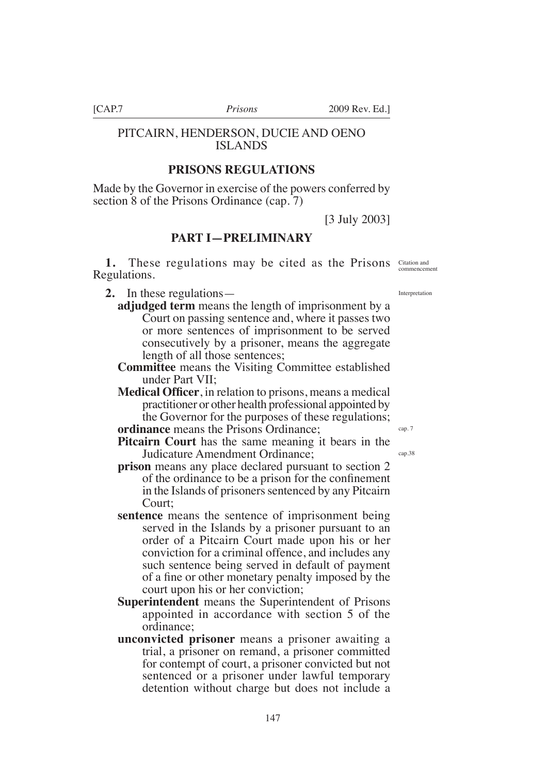# PITCAIRN, HENDERSON, DUCIE AND OENO ISLANDS

# **PRISONS REGULATIONS**

Made by the Governor in exercise of the powers conferred by section 8 of the Prisons Ordinance (cap. 7)

[3 July 2003]

# **PART I—PRELIMINARY**

**1.** These regulations may be cited as the Prisons Citation and Commencement Regulations.

**2.** In these regulations—

- **adjudged term** means the length of imprisonment by a Court on passing sentence and, where it passes two or more sentences of imprisonment to be served consecutively by a prisoner, means the aggregate length of all those sentences;
- **Committee** means the Visiting Committee established under Part VII;
- **Medical Offcer**, in relation to prisons, means a medical practitioner or other health professional appointed by the Governor for the purposes of these regulations;

**ordinance** means the Prisons Ordinance;

- **Pitcairn Court** has the same meaning it bears in the Judicature Amendment Ordinance;
- **prison** means any place declared pursuant to section 2 of the ordinance to be a prison for the confnement in the Islands of prisoners sentenced by any Pitcairn Court;
- **sentence** means the sentence of imprisonment being served in the Islands by a prisoner pursuant to an order of a Pitcairn Court made upon his or her conviction for a criminal offence, and includes any such sentence being served in default of payment of a fne or other monetary penalty imposed by the court upon his or her conviction;
- **Superintendent** means the Superintendent of Prisons appointed in accordance with section 5 of the ordinance;
- **unconvicted prisoner** means a prisoner awaiting a trial, a prisoner on remand, a prisoner committed for contempt of court, a prisoner convicted but not sentenced or a prisoner under lawful temporary detention without charge but does not include a

Interpretation

cap. 7 cap.38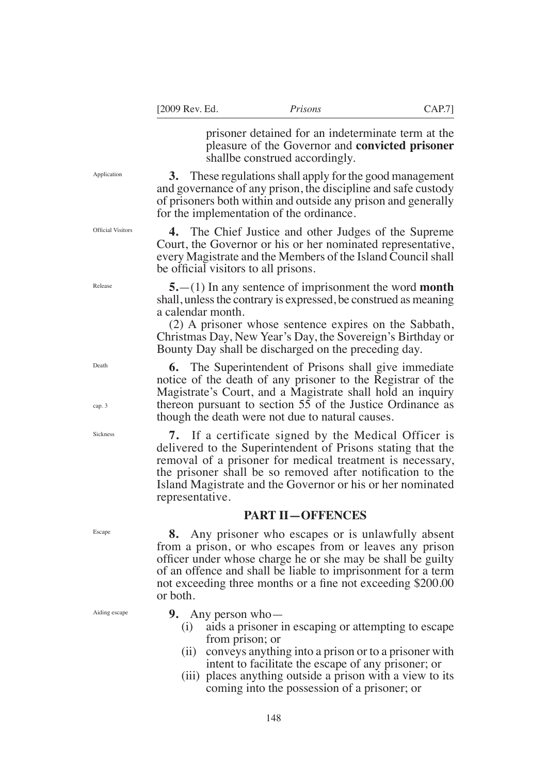prisoner detained for an indeterminate term at the pleasure of the Governor and **convicted prisoner**  shallbe construed accordingly.

**3.** These regulations shall apply for the good management and governance of any prison, the discipline and safe custody of prisoners both within and outside any prison and generally for the implementation of the ordinance.

**4.** The Chief Justice and other Judges of the Supreme Court, the Governor or his or her nominated representative, every Magistrate and the Members of the Island Council shall be official visitors to all prisons.

**5.**—(1) In any sentence of imprisonment the word **month**  shall, unless the contrary is expressed, be construed as meaning a calendar month.

(2) A prisoner whose sentence expires on the Sabbath, Christmas Day, New Year's Day, the Sovereign's Birthday or Bounty Day shall be discharged on the preceding day.

**6.** The Superintendent of Prisons shall give immediate notice of the death of any prisoner to the Registrar of the Magistrate's Court, and a Magistrate shall hold an inquiry thereon pursuant to section 55 of the Justice Ordinance as though the death were not due to natural causes.

**7.** If a certificate signed by the Medical Officer is delivered to the Superintendent of Prisons stating that the removal of a prisoner for medical treatment is necessary, the prisoner shall be so removed after notifcation to the Island Magistrate and the Governor or his or her nominated representative.

### **PART II—OFFENCES**

**8.** Any prisoner who escapes or is unlawfully absent from a prison, or who escapes from or leaves any prison offcer under whose charge he or she may be shall be guilty of an offence and shall be liable to imprisonment for a term not exceeding three months or a fine not exceeding \$200.00 or both.

**9.** Any person who—

- (i) aids a prisoner in escaping or attempting to escape from prison; or
- (ii) conveys anything into a prison or to a prisoner with intent to facilitate the escape of any prisoner; or
- (iii) places anything outside a prison with a view to its coming into the possession of a prisoner; or

Application

Official Visitors

Release

Death

cap. 3

Sickness

Escape

Aiding escape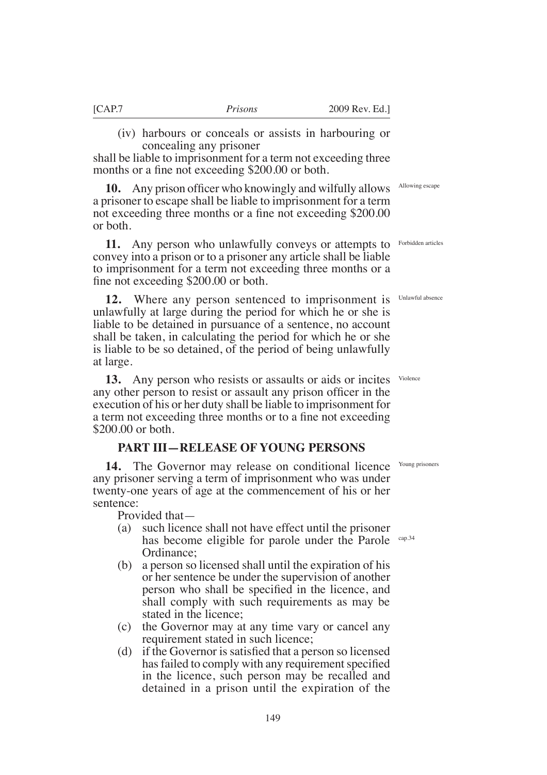concealing any prisoner

months or a fine not exceeding \$200.00 or both.

(iv) harbours or conceals or assists in harbouring or

Allowing escape

**10.** Any prison officer who knowingly and wilfully allows a prisoner to escape shall be liable to imprisonment for a term not exceeding three months or a fine not exceeding \$200.00 or both.

shall be liable to imprisonment for a term not exceeding three

**11.** Any person who unlawfully conveys or attempts to convey into a prison or to a prisoner any article shall be liable to imprisonment for a term not exceeding three months or a fine not exceeding \$200.00 or both.

**12.** Where any person sentenced to imprisonment is unlawfully at large during the period for which he or she is liable to be detained in pursuance of a sentence, no account shall be taken, in calculating the period for which he or she is liable to be so detained, of the period of being unlawfully at large.

13. Any person who resists or assaults or aids or incites Violence any other person to resist or assault any prison officer in the execution of his or her duty shall be liable to imprisonment for a term not exceeding three months or to a fne not exceeding \$200.00 or both.

### **PART III—RELEASE OF YOUNG PERSONS**

14. The Governor may release on conditional licence Young prisoners any prisoner serving a term of imprisonment who was under twenty-one years of age at the commencement of his or her sentence:

Provided that—

- (a) such licence shall not have effect until the prisoner has become eligible for parole under the Parole Ordinance;
- (b) a person so licensed shall until the expiration of his or her sentence be under the supervision of another person who shall be specifed in the licence, and shall comply with such requirements as may be stated in the licence;
- (c) the Governor may at any time vary or cancel any requirement stated in such licence;
- (d) if the Governor issatisfed that a person so licensed has failed to comply with any requirement specified in the licence, such person may be recalled and detained in a prison until the expiration of the

149

Forbidden articles

Unlawful absence

cap.34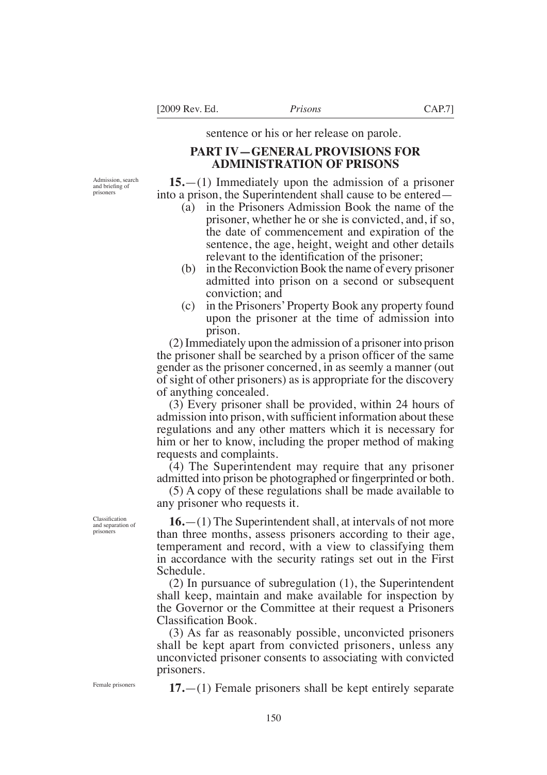sentence or his or her release on parole.

# **PART IV—GENERAL PROVISIONS FOR ADMINISTRATION OF PRISONS**

Admission, search and briefng of prisoners

**15.**—(1) Immediately upon the admission of a prisoner into a prison, the Superintendent shall cause to be entered—

- (a) in the Prisoners Admission Book the name of the prisoner, whether he or she is convicted, and, if so, the date of commencement and expiration of the sentence, the age, height, weight and other details relevant to the identifcation of the prisoner;
- (b) in the Reconviction Book the name of every prisoner admitted into prison on a second or subsequent conviction; and
- (c) in the Prisoners' Property Book any property found upon the prisoner at the time of admission into prison.

(2) Immediately upon the admission of a prisoner into prison the prisoner shall be searched by a prison officer of the same gender as the prisoner concerned, in as seemly a manner (out of sight of other prisoners) as is appropriate for the discovery of anything concealed.

(3) Every prisoner shall be provided, within 24 hours of admission into prison, with suffcient information about these regulations and any other matters which it is necessary for him or her to know, including the proper method of making requests and complaints.

(4) The Superintendent may require that any prisoner admitted into prison be photographed or fngerprinted or both.

(5) A copy of these regulations shall be made available to any prisoner who requests it.

**16.**—(1) The Superintendent shall, at intervals of not more than three months, assess prisoners according to their age, temperament and record, with a view to classifying them in accordance with the security ratings set out in the First Schedule.

(2) In pursuance of subregulation (1), the Superintendent shall keep, maintain and make available for inspection by the Governor or the Committee at their request a Prisoners Classifcation Book.

(3) As far as reasonably possible, unconvicted prisoners shall be kept apart from convicted prisoners, unless any unconvicted prisoner consents to associating with convicted prisoners.

Female prisoners

Classification and separation of prisoners

**17.**—(1) Female prisoners shall be kept entirely separate

150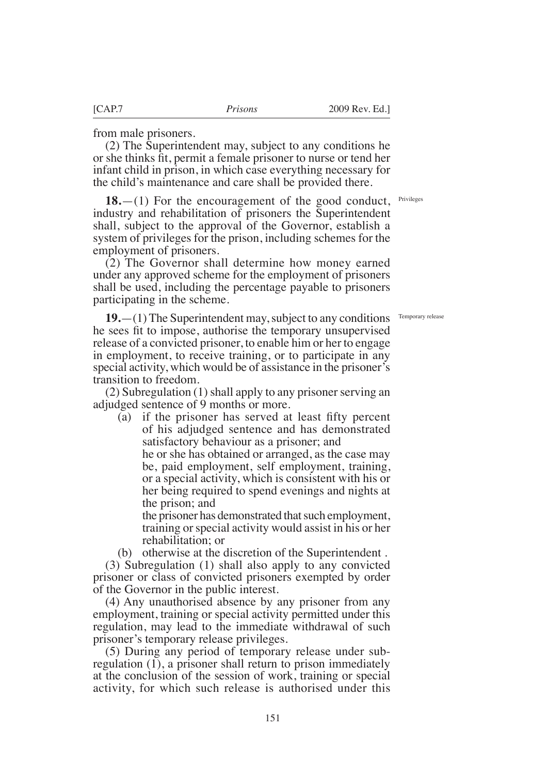from male prisoners.

(2) The Superintendent may, subject to any conditions he or she thinks ft, permit a female prisoner to nurse or tend her infant child in prison, in which case everything necessary for the child's maintenance and care shall be provided there.

Privileges

**18.**—(1) For the encouragement of the good conduct, industry and rehabilitation of prisoners the Superintendent shall, subject to the approval of the Governor, establish a system of privileges for the prison, including schemes for the employment of prisoners.

(2) The Governor shall determine how money earned under any approved scheme for the employment of prisoners shall be used, including the percentage payable to prisoners participating in the scheme.

Temporary release

**19.**—(1) The Superintendent may, subject to any conditions he sees ft to impose, authorise the temporary unsupervised release of a convicted prisoner, to enable him or her to engage in employment, to receive training, or to participate in any special activity, which would be of assistance in the prisoner's transition to freedom.

(2) Subregulation (1) shall apply to any prisoner serving an adjudged sentence of 9 months or more.

(a) if the prisoner has served at least ffty percent of his adjudged sentence and has demonstrated satisfactory behaviour as a prisoner; and

he or she has obtained or arranged, as the case may be, paid employment, self employment, training, or a special activity, which is consistent with his or her being required to spend evenings and nights at the prison; and

the prisoner has demonstrated that such employment, training or special activity would assist in his or her rehabilitation; or

(b) otherwise at the discretion of the Superintendent .

(3) Subregulation (1) shall also apply to any convicted prisoner or class of convicted prisoners exempted by order of the Governor in the public interest.

(4) Any unauthorised absence by any prisoner from any employment, training or special activity permitted under this regulation, may lead to the immediate withdrawal of such prisoner's temporary release privileges.

(5) During any period of temporary release under subregulation (1), a prisoner shall return to prison immediately at the conclusion of the session of work, training or special activity, for which such release is authorised under this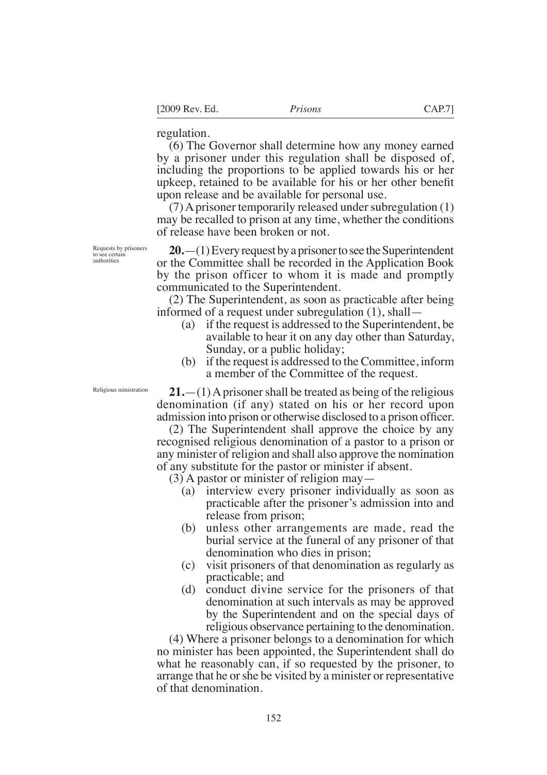regulation.

(6) The Governor shall determine how any money earned by a prisoner under this regulation shall be disposed of, including the proportions to be applied towards his or her upkeep, retained to be available for his or her other beneft upon release and be available for personal use.

(7) A prisoner temporarily released under subregulation (1) may be recalled to prison at any time, whether the conditions of release have been broken or not.

**20.**—(1) Every request by a prisoner to see the Superintendent or the Committee shall be recorded in the Application Book by the prison officer to whom it is made and promptly communicated to the Superintendent.

(2) The Superintendent, as soon as practicable after being informed of a request under subregulation (1), shall—

- (a) if the request is addressed to the Superintendent, be available to hear it on any day other than Saturday, Sunday, or a public holiday;
- (b) if the request is addressed to the Committee, inform a member of the Committee of the request.

**21.**—(1) A prisoner shall be treated as being of the religious denomination (if any) stated on his or her record upon admission into prison or otherwise disclosed to a prison officer.

(2) The Superintendent shall approve the choice by any recognised religious denomination of a pastor to a prison or any minister of religion and shall also approve the nomination of any substitute for the pastor or minister if absent.

(3) A pastor or minister of religion may—

- (a) interview every prisoner individually as soon as practicable after the prisoner's admission into and release from prison;
- (b) unless other arrangements are made, read the burial service at the funeral of any prisoner of that denomination who dies in prison;
- (c) visit prisoners of that denomination as regularly as practicable; and
- (d) conduct divine service for the prisoners of that denomination at such intervals as may be approved by the Superintendent and on the special days of religious observance pertaining to the denomination.

(4) Where a prisoner belongs to a denomination for which no minister has been appointed, the Superintendent shall do what he reasonably can, if so requested by the prisoner, to arrange that he or she be visited by a minister or representative of that denomination.

Requests by prisoners to see certain authorities

Religious ministration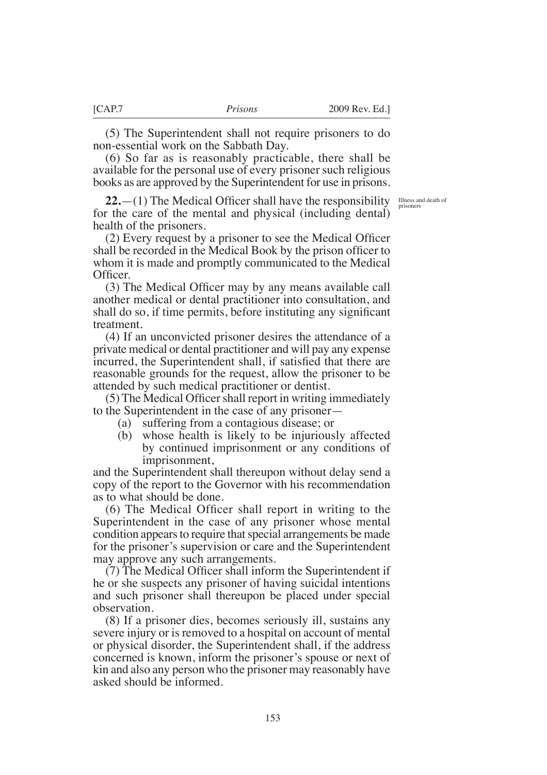(5) The Superintendent shall not require prisoners to do non-essential work on the Sabbath Day.

(6) So far as is reasonably practicable, there shall be available for the personal use of every prisoner such religious books as are approved by the Superintendent for use in prisons.

**22.**  $-(1)$  The Medical Officer shall have the responsibility  $\frac{IIIness}{prisoners}$ for the care of the mental and physical (including dental) health of the prisoners.

(2) Every request by a prisoner to see the Medical Offcer shall be recorded in the Medical Book by the prison officer to whom it is made and promptly communicated to the Medical Officer.

(3) The Medical Offcer may by any means available call another medical or dental practitioner into consultation, and shall do so, if time permits, before instituting any signifcant treatment.

(4) If an unconvicted prisoner desires the attendance of a private medical or dental practitioner and will pay any expense incurred, the Superintendent shall, if satisfed that there are reasonable grounds for the request, allow the prisoner to be attended by such medical practitioner or dentist.

(5) The Medical Offcershall report in writing immediately to the Superintendent in the case of any prisoner—

- (a) suffering from a contagious disease; or
- (b) whose health is likely to be injuriously affected by continued imprisonment or any conditions of imprisonment,

and the Superintendent shall thereupon without delay send a copy of the report to the Governor with his recommendation as to what should be done.

(6) The Medical Offcer shall report in writing to the Superintendent in the case of any prisoner whose mental condition appears to require that special arrangements be made for the prisoner's supervision or care and the Superintendent may approve any such arrangements.

(7) The Medical Offcer shall inform the Superintendent if he or she suspects any prisoner of having suicidal intentions and such prisoner shall thereupon be placed under special observation.

(8) If a prisoner dies, becomes seriously ill, sustains any severe injury or is removed to a hospital on account of mental or physical disorder, the Superintendent shall, if the address concerned is known, inform the prisoner's spouse or next of kin and also any person who the prisoner may reasonably have asked should be informed.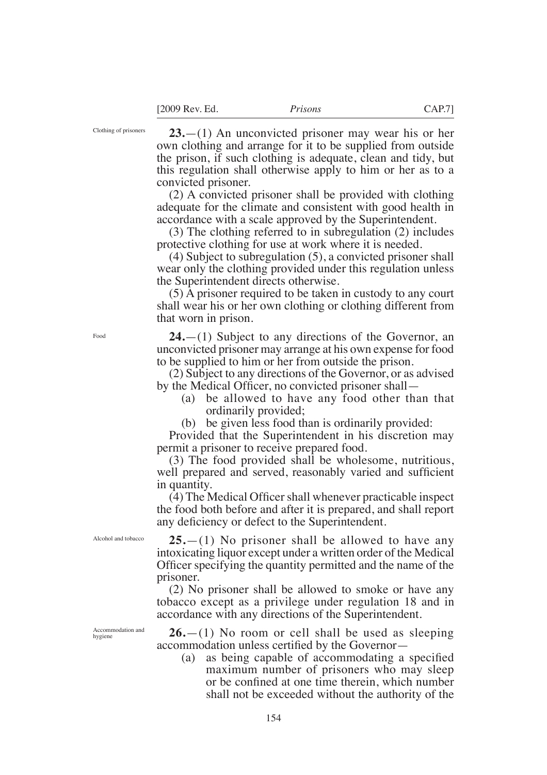Clothing of prisoners

**23.**—(1) An unconvicted prisoner may wear his or her own clothing and arrange for it to be supplied from outside the prison, if such clothing is adequate, clean and tidy, but this regulation shall otherwise apply to him or her as to a convicted prisoner.

(2) A convicted prisoner shall be provided with clothing adequate for the climate and consistent with good health in accordance with a scale approved by the Superintendent.

(3) The clothing referred to in subregulation (2) includes protective clothing for use at work where it is needed.

(4) Subject to subregulation (5), a convicted prisoner shall wear only the clothing provided under this regulation unless the Superintendent directs otherwise.

(5) A prisoner required to be taken in custody to any court shall wear his or her own clothing or clothing different from that worn in prison.

**24.**—(1) Subject to any directions of the Governor, an unconvicted prisoner may arrange at his own expense for food to be supplied to him or her from outside the prison.

(2) Subject to any directions of the Governor, or as advised by the Medical Officer, no convicted prisoner shall—

- (a) be allowed to have any food other than that ordinarily provided;
- (b) be given less food than is ordinarily provided:

Provided that the Superintendent in his discretion may permit a prisoner to receive prepared food.

(3) The food provided shall be wholesome, nutritious, well prepared and served, reasonably varied and sufficient in quantity.

(4) The Medical Offcershall whenever practicable inspect the food both before and after it is prepared, and shall report any defciency or defect to the Superintendent.

Alcohol and tobacco

**25.**—(1) No prisoner shall be allowed to have any intoxicating liquor except under a written order of the Medical Offcer specifying the quantity permitted and the name of the prisoner.

(2) No prisoner shall be allowed to smoke or have any tobacco except as a privilege under regulation 18 and in accordance with any directions of the Superintendent.

**26.**—(1) No room or cell shall be used as sleeping accommodation unless certifed by the Governor—

(a) as being capable of accommodating a specifed maximum number of prisoners who may sleep or be confned at one time therein, which number shall not be exceeded without the authority of the

Food

Accommodation and hygiene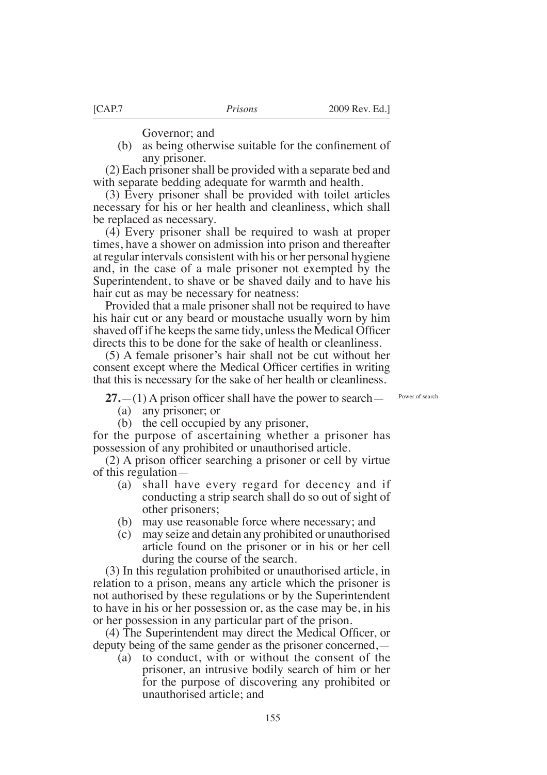Governor; and

(b) as being otherwise suitable for the confnement of any prisoner.

(2) Each prisoner shall be provided with a separate bed and with separate bedding adequate for warmth and health.

(3) Every prisoner shall be provided with toilet articles necessary for his or her health and cleanliness, which shall be replaced as necessary.

(4) Every prisoner shall be required to wash at proper times, have a shower on admission into prison and thereafter at regular intervals consistent with his or her personal hygiene and, in the case of a male prisoner not exempted by the Superintendent, to shave or be shaved daily and to have his hair cut as may be necessary for neatness:

Provided that a male prisoner shall not be required to have his hair cut or any beard or moustache usually worn by him shaved off if he keeps the same tidy, unless the Medical Officer directs this to be done for the sake of health or cleanliness.

(5) A female prisoner's hair shall not be cut without her consent except where the Medical Officer certifies in writing that this is necessary for the sake of her health or cleanliness.

 $27.$ —(1) A prison officer shall have the power to search—

Power of search

- (a) any prisoner; or
- (b) the cell occupied by any prisoner,

for the purpose of ascertaining whether a prisoner has possession of any prohibited or unauthorised article.

(2) A prison offcer searching a prisoner or cell by virtue of this regulation—

- (a) shall have every regard for decency and if conducting a strip search shall do so out of sight of other prisoners;
- (b) may use reasonable force where necessary; and
- (c) may seize and detain any prohibited or unauthorised article found on the prisoner or in his or her cell during the course of the search.

(3) In this regulation prohibited or unauthorised article, in relation to a prison, means any article which the prisoner is not authorised by these regulations or by the Superintendent to have in his or her possession or, as the case may be, in his or her possession in any particular part of the prison.

(4) The Superintendent may direct the Medical Offcer, or deputy being of the same gender as the prisoner concerned,—

(a) to conduct, with or without the consent of the prisoner, an intrusive bodily search of him or her for the purpose of discovering any prohibited or unauthorised article; and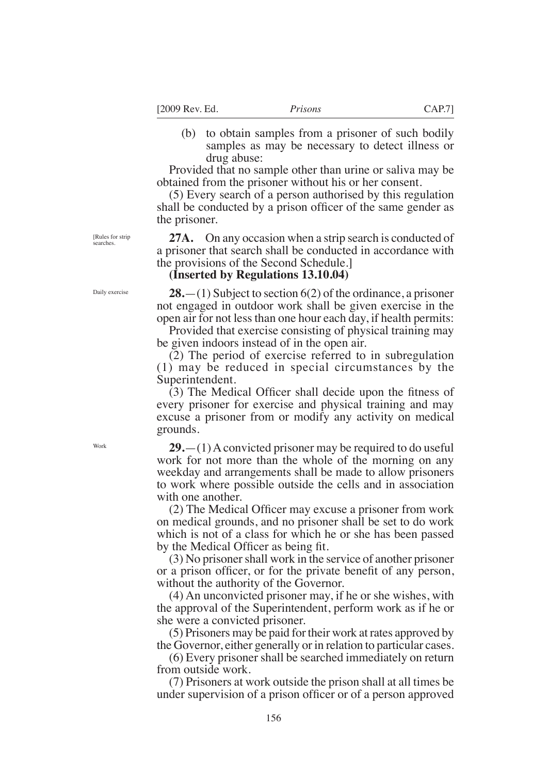[2009 Rev. Ed. *Prisons* CAP.7]

(b) to obtain samples from a prisoner of such bodily samples as may be necessary to detect illness or drug abuse:

Provided that no sample other than urine or saliva may be obtained from the prisoner without his or her consent.

(5) Every search of a person authorised by this regulation shall be conducted by a prison officer of the same gender as the prisoner.

**27A.** On any occasion when a strip search is conducted of a prisoner that search shall be conducted in accordance with the provisions of the Second Schedule.]

### **(Inserted by Regulations 13.10.04)**

**28.**—(1) Subject to section 6(2) of the ordinance, a prisoner not engaged in outdoor work shall be given exercise in the open air for not less than one hour each day, if health permits:

Provided that exercise consisting of physical training may be given indoors instead of in the open air.

(2) The period of exercise referred to in subregulation (1) may be reduced in special circumstances by the Superintendent.

(3) The Medical Offcer shall decide upon the ftness of every prisoner for exercise and physical training and may excuse a prisoner from or modify any activity on medical grounds.

**29.**—(1) A convicted prisoner may be required to do useful work for not more than the whole of the morning on any weekday and arrangements shall be made to allow prisoners to work where possible outside the cells and in association with one another.

(2) The Medical Offcer may excuse a prisoner from work on medical grounds, and no prisoner shall be set to do work which is not of a class for which he or she has been passed by the Medical Officer as being fit.

(3) No prisoner shall work in the service of another prisoner or a prison offcer, or for the private beneft of any person, without the authority of the Governor.

(4) An unconvicted prisoner may, if he or she wishes, with the approval of the Superintendent, perform work as if he or she were a convicted prisoner.

(5) Prisoners may be paid for their work at rates approved by the Governor, either generally or in relation to particular cases.

(6) Every prisoner shall be searched immediately on return from outside work.

(7) Prisoners at work outside the prison shall at all times be under supervision of a prison officer or of a person approved

[Rules for strip searches.

Daily exercise

Work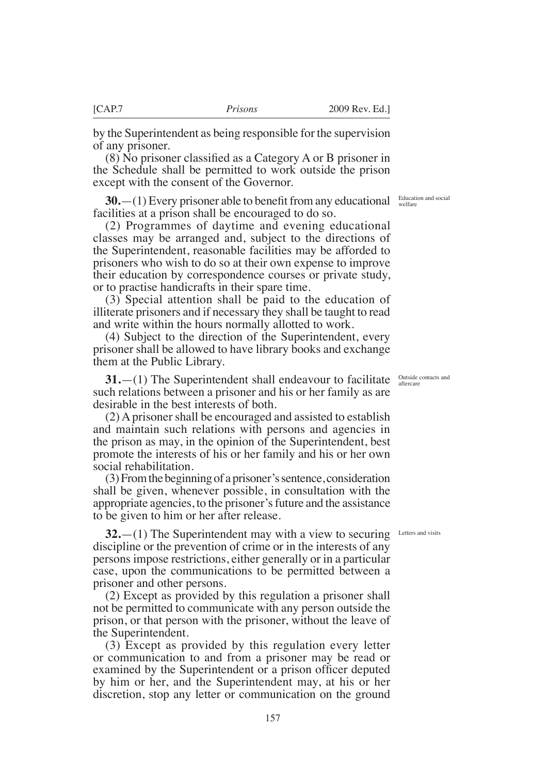by the Superintendent as being responsible for the supervision of any prisoner.

(8) No prisoner classifed as a Category A or B prisoner in the Schedule shall be permitted to work outside the prison except with the consent of the Governor.

**30.**—(1) Every prisoner able to benefit from any educational facilities at a prison shall be encouraged to do so.

(2) Programmes of daytime and evening educational classes may be arranged and, subject to the directions of the Superintendent, reasonable facilities may be afforded to prisoners who wish to do so at their own expense to improve their education by correspondence courses or private study, or to practise handicrafts in their spare time.

(3) Special attention shall be paid to the education of illiterate prisoners and if necessary they shall be taught to read and write within the hours normally allotted to work.

(4) Subject to the direction of the Superintendent, every prisoner shall be allowed to have library books and exchange them at the Public Library.

**31.**—(1) The Superintendent shall endeavour to facilitate such relations between a prisoner and his or her family as are desirable in the best interests of both.

(2) A prisoner shall be encouraged and assisted to establish and maintain such relations with persons and agencies in the prison as may, in the opinion of the Superintendent, best promote the interests of his or her family and his or her own social rehabilitation.

(3) From the beginning of a prisoner's sentence, consideration shall be given, whenever possible, in consultation with the appropriate agencies, to the prisoner's future and the assistance to be given to him or her after release.

**32.**—(1) The Superintendent may with a view to securing discipline or the prevention of crime or in the interests of any persons impose restrictions, either generally or in a particular case, upon the communications to be permitted between a prisoner and other persons.

(2) Except as provided by this regulation a prisoner shall not be permitted to communicate with any person outside the prison, or that person with the prisoner, without the leave of the Superintendent.

(3) Except as provided by this regulation every letter or communication to and from a prisoner may be read or examined by the Superintendent or a prison officer deputed by him or her, and the Superintendent may, at his or her discretion, stop any letter or communication on the ground

Education and social welfare

Outside contacts and aftercare

Letters and visits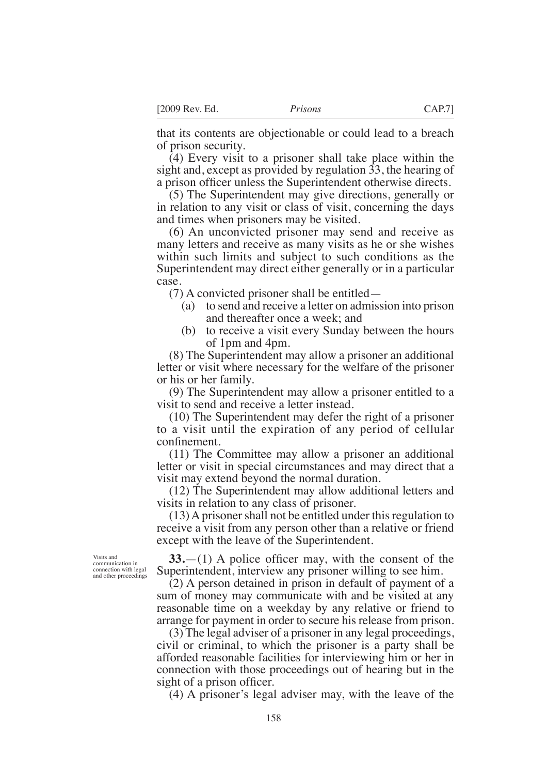that its contents are objectionable or could lead to a breach of prison security.

(4) Every visit to a prisoner shall take place within the sight and, except as provided by regulation 33, the hearing of a prison officer unless the Superintendent otherwise directs.

(5) The Superintendent may give directions, generally or in relation to any visit or class of visit, concerning the days and times when prisoners may be visited.

(6) An unconvicted prisoner may send and receive as many letters and receive as many visits as he or she wishes within such limits and subject to such conditions as the Superintendent may direct either generally or in a particular case.

(7) A convicted prisoner shall be entitled—

- (a) to send and receive a letter on admission into prison and thereafter once a week; and
- (b) to receive a visit every Sunday between the hours of 1pm and 4pm.

(8) The Superintendent may allow a prisoner an additional letter or visit where necessary for the welfare of the prisoner or his or her family.

(9) The Superintendent may allow a prisoner entitled to a visit to send and receive a letter instead.

(10) The Superintendent may defer the right of a prisoner to a visit until the expiration of any period of cellular confnement.

(11) The Committee may allow a prisoner an additional letter or visit in special circumstances and may direct that a visit may extend beyond the normal duration.

(12) The Superintendent may allow additional letters and visits in relation to any class of prisoner.

(13) A prisoner shall not be entitled under this regulation to receive a visit from any person other than a relative or friend except with the leave of the Superintendent.

 $33$ — $(1)$  A police officer may, with the consent of the Superintendent, interview any prisoner willing to see him.

(2) A person detained in prison in default of payment of a sum of money may communicate with and be visited at any reasonable time on a weekday by any relative or friend to arrange for payment in order to secure his release from prison.

(3) The legal adviser of a prisoner in any legal proceedings, civil or criminal, to which the prisoner is a party shall be afforded reasonable facilities for interviewing him or her in connection with those proceedings out of hearing but in the sight of a prison officer.

(4) A prisoner's legal adviser may, with the leave of the

Visits and communication in connection with legal and other proceedings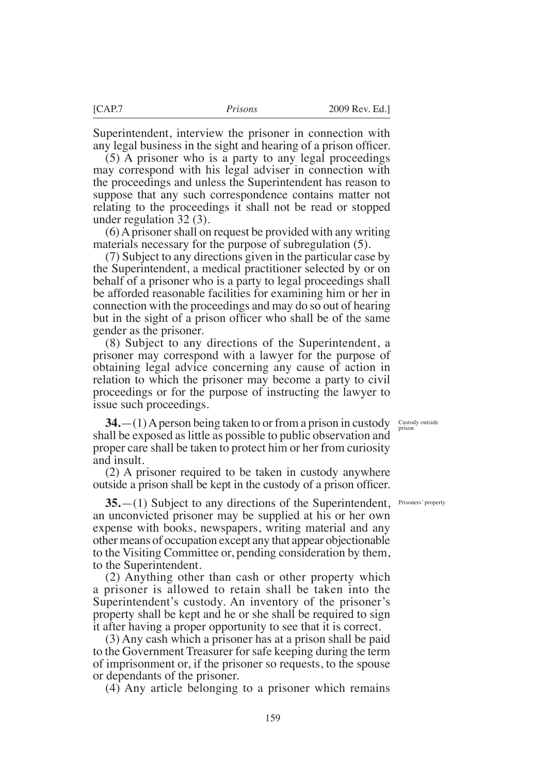Superintendent, interview the prisoner in connection with any legal business in the sight and hearing of a prison officer.

(5) A prisoner who is a party to any legal proceedings may correspond with his legal adviser in connection with the proceedings and unless the Superintendent has reason to suppose that any such correspondence contains matter not relating to the proceedings it shall not be read or stopped under regulation 32 (3).

(6) A prisoner shall on request be provided with any writing materials necessary for the purpose of subregulation (5).

(7) Subject to any directions given in the particular case by the Superintendent, a medical practitioner selected by or on behalf of a prisoner who is a party to legal proceedings shall be afforded reasonable facilities for examining him or her in connection with the proceedings and may do so out of hearing but in the sight of a prison officer who shall be of the same gender as the prisoner.

(8) Subject to any directions of the Superintendent, a prisoner may correspond with a lawyer for the purpose of obtaining legal advice concerning any cause of action in relation to which the prisoner may become a party to civil proceedings or for the purpose of instructing the lawyer to issue such proceedings.

> Custody outside prison

**34.**—(1) A person being taken to or from a prison in custody shall be exposed as little as possible to public observation and proper care shall be taken to protect him or her from curiosity and insult.

(2) A prisoner required to be taken in custody anywhere outside a prison shall be kept in the custody of a prison offcer.

**35.**—(1) Subject to any directions of the Superintendent, an unconvicted prisoner may be supplied at his or her own expense with books, newspapers, writing material and any other means of occupation except any that appear objectionable to the Visiting Committee or, pending consideration by them, to the Superintendent.

(2) Anything other than cash or other property which a prisoner is allowed to retain shall be taken into the Superintendent's custody. An inventory of the prisoner's property shall be kept and he or she shall be required to sign it after having a proper opportunity to see that it is correct.

(3) Any cash which a prisoner has at a prison shall be paid to the Government Treasurer for safe keeping during the term of imprisonment or, if the prisoner so requests, to the spouse or dependants of the prisoner.

(4) Any article belonging to a prisoner which remains

Prisoners' property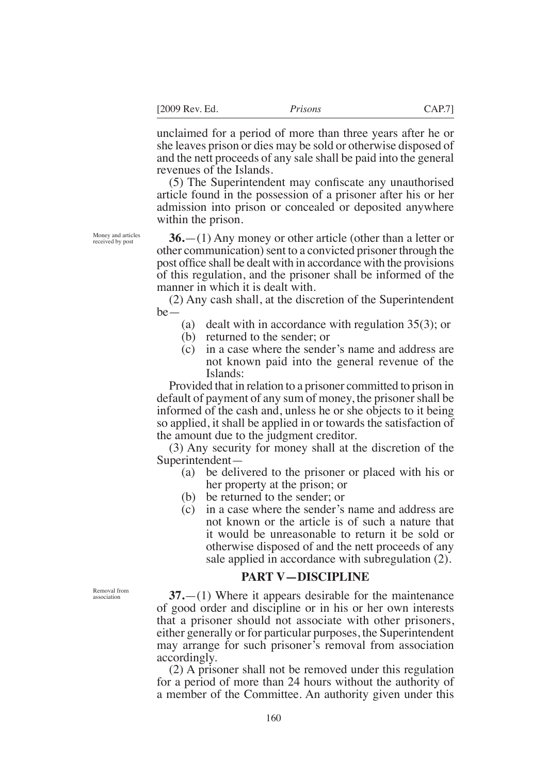unclaimed for a period of more than three years after he or she leaves prison or dies may be sold or otherwise disposed of and the nett proceeds of any sale shall be paid into the general revenues of the Islands.

(5) The Superintendent may confscate any unauthorised article found in the possession of a prisoner after his or her admission into prison or concealed or deposited anywhere within the prison.

**36.**—(1) Any money or other article (other than a letter or other communication) sent to a convicted prisoner through the post offce shall be dealt with in accordance with the provisions of this regulation, and the prisoner shall be informed of the manner in which it is dealt with.

(2) Any cash shall, at the discretion of the Superintendent be—

- (a) dealt with in accordance with regulation 35(3); or
- (b) returned to the sender; or
- (c) in a case where the sender's name and address are not known paid into the general revenue of the Islands:

Provided that in relation to a prisoner committed to prison in default of payment of any sum of money, the prisoner shall be informed of the cash and, unless he or she objects to it being so applied, it shall be applied in or towards the satisfaction of the amount due to the judgment creditor.

(3) Any security for money shall at the discretion of the Superintendent—

- (a) be delivered to the prisoner or placed with his or her property at the prison; or
- (b) be returned to the sender; or
- (c) in a case where the sender's name and address are not known or the article is of such a nature that it would be unreasonable to return it be sold or otherwise disposed of and the nett proceeds of any sale applied in accordance with subregulation (2).

### **PART V—DISCIPLINE**

**37.**—(1) Where it appears desirable for the maintenance of good order and discipline or in his or her own interests that a prisoner should not associate with other prisoners, either generally or for particular purposes, the Superintendent may arrange for such prisoner's removal from association accordingly.

(2) A prisoner shall not be removed under this regulation for a period of more than 24 hours without the authority of a member of the Committee. An authority given under this

Removal from association

Money and articles received by post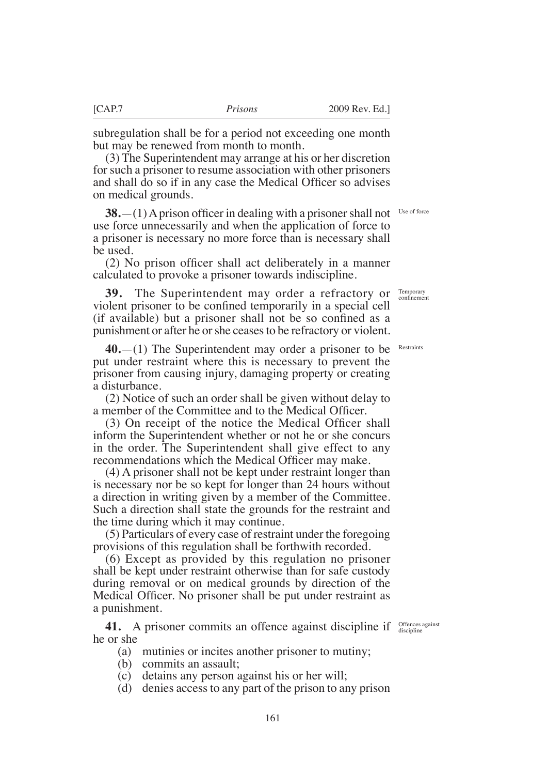subregulation shall be for a period not exceeding one month but may be renewed from month to month.

(3) The Superintendent may arrange at his or her discretion for such a prisoner to resume association with other prisoners and shall do so if in any case the Medical Officer so advises on medical grounds.

**38.**—(1) A prison officer in dealing with a prisoner shall not use force unnecessarily and when the application of force to a prisoner is necessary no more force than is necessary shall be used. Use of force

(2) No prison offcer shall act deliberately in a manner calculated to provoke a prisoner towards indiscipline.

**39.** The Superintendent may order a refractory or violent prisoner to be confned temporarily in a special cell (if available) but a prisoner shall not be so confned as a punishment or after he or she ceases to be refractory or violent.

**40.**—(1) The Superintendent may order a prisoner to be put under restraint where this is necessary to prevent the prisoner from causing injury, damaging property or creating a disturbance.

(2) Notice of such an order shall be given without delay to a member of the Committee and to the Medical Officer.

(3) On receipt of the notice the Medical Offcer shall inform the Superintendent whether or not he or she concurs in the order. The Superintendent shall give effect to any recommendations which the Medical Officer may make.

(4) A prisoner shall not be kept under restraint longer than is necessary nor be so kept for longer than 24 hours without a direction in writing given by a member of the Committee. Such a direction shall state the grounds for the restraint and the time during which it may continue.

(5) Particulars of every case of restraint under the foregoing provisions of this regulation shall be forthwith recorded.

(6) Except as provided by this regulation no prisoner shall be kept under restraint otherwise than for safe custody during removal or on medical grounds by direction of the Medical Offcer. No prisoner shall be put under restraint as a punishment.

**41.** A prisoner commits an offence against discipline if *Offences against* he or she

- (a) mutinies or incites another prisoner to mutiny;
- (b) commits an assault;
- (c) detains any person against his or her will;
- (d) denies access to any part of the prison to any prison

Restraints

Temporary confnement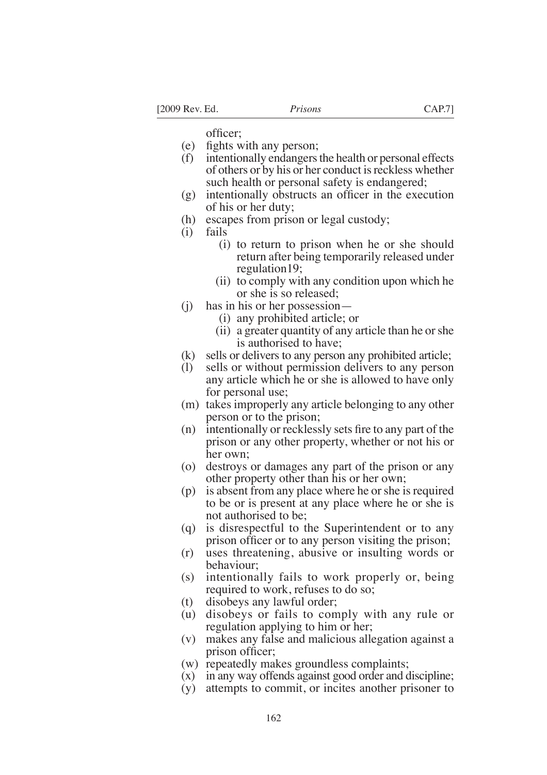officer:

- (e) fghts with any person;
- (f) intentionally endangers the health or personal effects of others or by his or her conduct is reckless whether such health or personal safety is endangered;
- $(g)$  intentionally obstructs an officer in the execution of his or her duty;
- (h) escapes from prison or legal custody;
- (i) fails
	- (i) to return to prison when he or she should return after being temporarily released under regulation19;
	- (ii) to comply with any condition upon which he or she is so released;
- (j) has in his or her possession—
	- (i) any prohibited article; or
	- (ii) a greater quantity of any article than he or she is authorised to have;
- (k) sells or delivers to any person any prohibited article;
- (l) sells or without permission delivers to any person any article which he or she is allowed to have only for personal use;
- (m) takes improperly any article belonging to any other person or to the prison;
- (n) intentionally or recklessly sets fre to any part of the prison or any other property, whether or not his or her own;
- (o) destroys or damages any part of the prison or any other property other than his or her own;
- (p) is absent from any place where he or she is required to be or is present at any place where he or she is not authorised to be;
- (q) is disrespectful to the Superintendent or to any prison officer or to any person visiting the prison;
- (r) uses threatening, abusive or insulting words or behaviour;
- (s) intentionally fails to work properly or, being required to work, refuses to do so;
- (t) disobeys any lawful order;
- (u) disobeys or fails to comply with any rule or regulation applying to him or her;
- (v) makes any false and malicious allegation against a prison officer;
- (w) repeatedly makes groundless complaints;
- (x) in any way offends against good order and discipline;
- (y) attempts to commit, or incites another prisoner to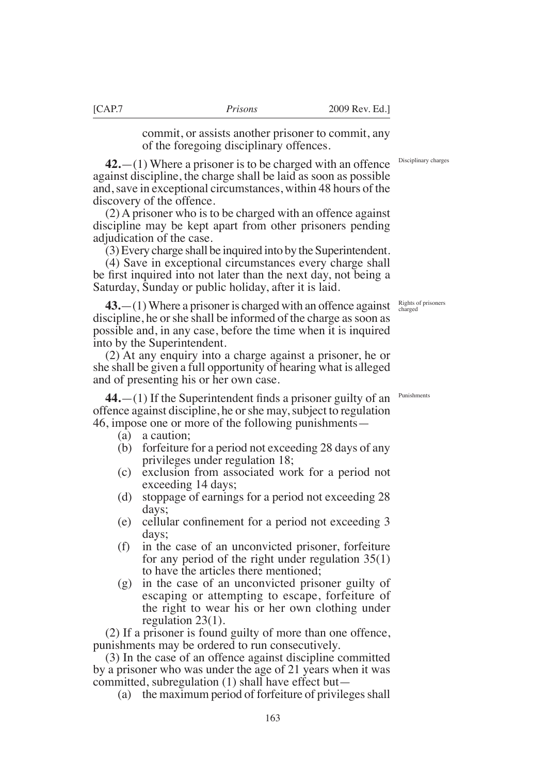commit, or assists another prisoner to commit, any of the foregoing disciplinary offences.

**42.**—(1) Where a prisoner is to be charged with an offence against discipline, the charge shall be laid as soon as possible and, save in exceptional circumstances, within 48 hours of the discovery of the offence.

(2) A prisoner who is to be charged with an offence against discipline may be kept apart from other prisoners pending adjudication of the case.

(3) Every charge shall be inquired into by the Superintendent.

(4) Save in exceptional circumstances every charge shall be frst inquired into not later than the next day, not being a Saturday, Sunday or public holiday, after it is laid.

**43.**—(1) Where a prisoner is charged with an offence against discipline, he or she shall be informed of the charge as soon as possible and, in any case, before the time when it is inquired into by the Superintendent.

(2) At any enquiry into a charge against a prisoner, he or she shall be given a full opportunity of hearing what is alleged and of presenting his or her own case.

**44.**—(1) If the Superintendent fnds a prisoner guilty of an offence against discipline, he or she may, subject to regulation 46, impose one or more of the following punishments—

- (a) a caution;
- (b) forfeiture for a period not exceeding 28 days of any privileges under regulation 18;
- (c) exclusion from associated work for a period not exceeding 14 days;
- (d) stoppage of earnings for a period not exceeding 28 days;
- (e) cellular confnement for a period not exceeding 3 days;
- (f) in the case of an unconvicted prisoner, forfeiture for any period of the right under regulation 35(1) to have the articles there mentioned;
- (g) in the case of an unconvicted prisoner guilty of escaping or attempting to escape, forfeiture of the right to wear his or her own clothing under regulation 23(1).

(2) If a prisoner is found guilty of more than one offence, punishments may be ordered to run consecutively.

(3) In the case of an offence against discipline committed by a prisoner who was under the age of 21 years when it was committed, subregulation (1) shall have effect but—

(a) the maximum period of forfeiture of privileges shall

Disciplinary charges

Rights of prisoners charged

Punishments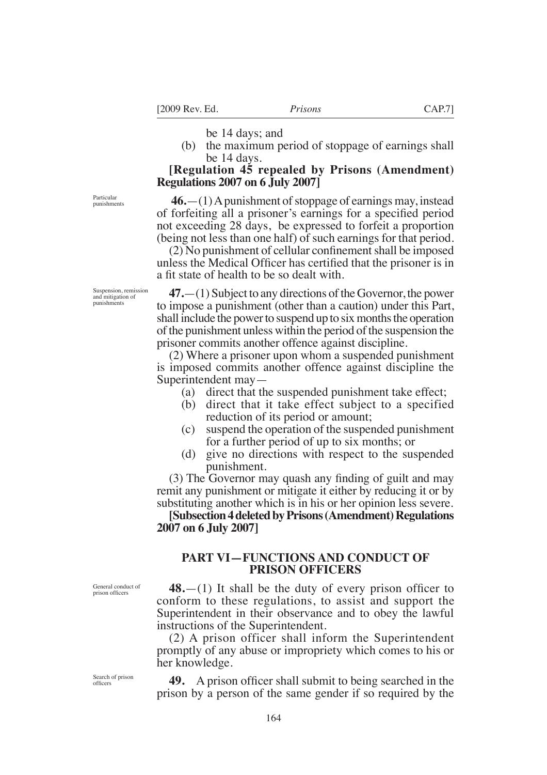be 14 days; and

(b) the maximum period of stoppage of earnings shall be 14 days.

# **[Regulation 45 repealed by Prisons (Amendment) Regulations 2007 on 6 July 2007]**

 **46.**—(1) A punishment of stoppage of earnings may, instead of forfeiting all a prisoner's earnings for a specifed period not exceeding 28 days, be expressed to forfeit a proportion (being not less than one half) of such earnings for that period.

 $(2)$  No punishment of cellular confinement shall be imposed unless the Medical Offcer has certifed that the prisoner is in a ft state of health to be so dealt with.

**47.**—(1) Subject to any directions of the Governor, the power to impose a punishment (other than a caution) under this Part, shall include the power to suspend up to six months the operation of the punishment unless within the period of the suspension the prisoner commits another offence against discipline.

(2) Where a prisoner upon whom a suspended punishment is imposed commits another offence against discipline the Superintendent may—

- (a) direct that the suspended punishment take effect;
- (b) direct that it take effect subject to a specified reduction of its period or amount;
- (c) suspend the operation of the suspended punishment for a further period of up to six months; or
- (d) give no directions with respect to the suspended punishment.

(3) The Governor may quash any fnding of guilt and may remit any punishment or mitigate it either by reducing it or by substituting another which is in his or her opinion less severe.

**[Subsection 4 deleted by Prisons (Amendment) Regulations 2007 on 6 July 2007]**

### **PART VI—FUNCTIONS AND CONDUCT OF PRISON OFFICERS**

**48.**—(1) It shall be the duty of every prison officer to conform to these regulations, to assist and support the Superintendent in their observance and to obey the lawful instructions of the Superintendent.

(2) A prison officer shall inform the Superintendent promptly of any abuse or impropriety which comes to his or her knowledge.

Search of prison offcers

General conduct of prison officers

> **49.** A prison offcer shall submit to being searched in the prison by a person of the same gender if so required by the

Particular punishments

Suspension, remission and mitigation of punishments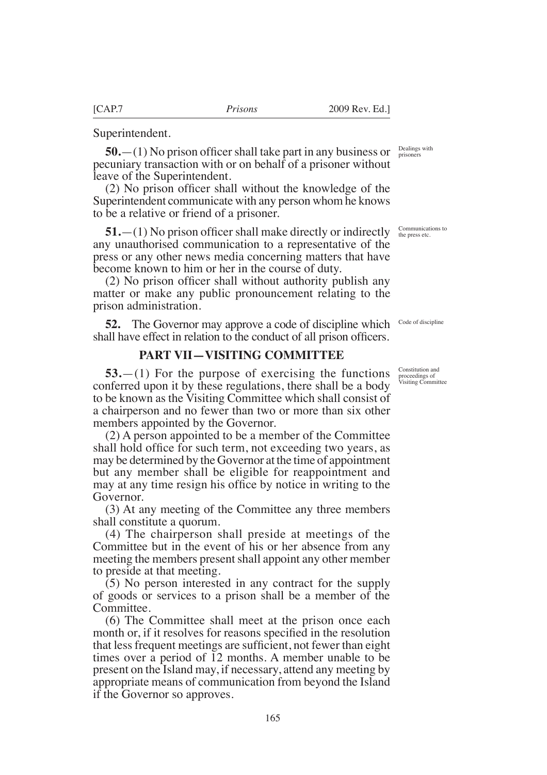Superintendent.

**50.**—(1) No prison officer shall take part in any business or pecuniary transaction with or on behalf of a prisoner without leave of the Superintendent.

(2) No prison offcer shall without the knowledge of the Superintendent communicate with any person whom he knows to be a relative or friend of a prisoner.

**51.**—(1) No prison officer shall make directly or indirectly any unauthorised communication to a representative of the press or any other news media concerning matters that have become known to him or her in the course of duty.

(2) No prison offcer shall without authority publish any matter or make any public pronouncement relating to the prison administration.

**52.** The Governor may approve a code of discipline which shall have effect in relation to the conduct of all prison officers.

# **PART VII—VISITING COMMITTEE**

**53.**—(1) For the purpose of exercising the functions conferred upon it by these regulations, there shall be a body to be known as the Visiting Committee which shall consist of a chairperson and no fewer than two or more than six other members appointed by the Governor.

(2) A person appointed to be a member of the Committee shall hold office for such term, not exceeding two years, as may be determined by the Governor at the time of appointment but any member shall be eligible for reappointment and may at any time resign his offce by notice in writing to the Governor.

(3) At any meeting of the Committee any three members shall constitute a quorum.

(4) The chairperson shall preside at meetings of the Committee but in the event of his or her absence from any meeting the members present shall appoint any other member to preside at that meeting.

(5) No person interested in any contract for the supply of goods or services to a prison shall be a member of the Committee.

(6) The Committee shall meet at the prison once each month or, if it resolves for reasons specifed in the resolution that less frequent meetings are sufficient, not fewer than eight times over a period of 12 months. A member unable to be present on the Island may, if necessary, attend any meeting by appropriate means of communication from beyond the Island if the Governor so approves.

Dealings with prisoners

Communications to the press etc.

Code of discipline

Constitution and proceedings of Visiting Committee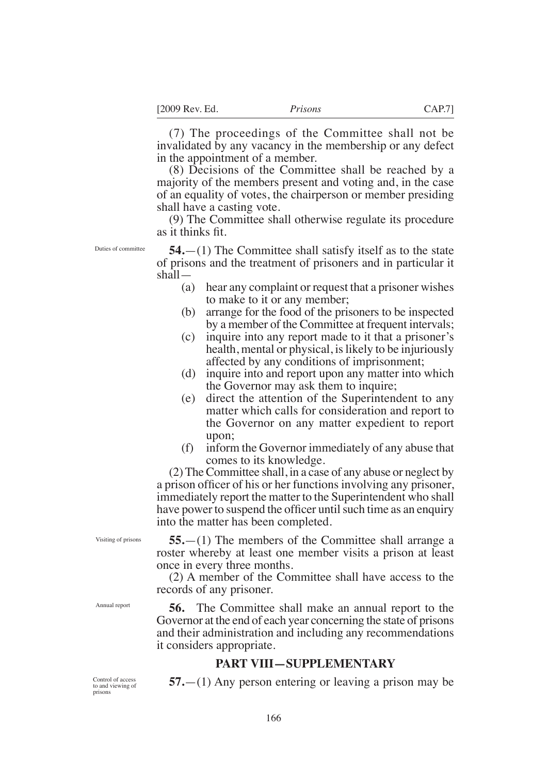(7) The proceedings of the Committee shall not be invalidated by any vacancy in the membership or any defect in the appointment of a member.

(8) Decisions of the Committee shall be reached by a majority of the members present and voting and, in the case of an equality of votes, the chairperson or member presiding shall have a casting vote.

(9) The Committee shall otherwise regulate its procedure as it thinks ft.

Duties of committee

**54.**—(1) The Committee shall satisfy itself as to the state of prisons and the treatment of prisoners and in particular it shall—

- (a) hear any complaint or request that a prisoner wishes to make to it or any member;
- (b) arrange for the food of the prisoners to be inspected by a member of the Committee at frequent intervals;
- (c) inquire into any report made to it that a prisoner's health, mental or physical, is likely to be injuriously affected by any conditions of imprisonment;
- (d) inquire into and report upon any matter into which the Governor may ask them to inquire;
- (e) direct the attention of the Superintendent to any matter which calls for consideration and report to the Governor on any matter expedient to report upon;
- (f) inform the Governor immediately of any abuse that comes to its knowledge.

(2) The Committee shall, in a case of any abuse or neglect by a prison officer of his or her functions involving any prisoner, immediately report the matter to the Superintendent who shall have power to suspend the officer until such time as an enquiry into the matter has been completed.

Visiting of prisons

**55.**—(1) The members of the Committee shall arrange a roster whereby at least one member visits a prison at least once in every three months.

(2) A member of the Committee shall have access to the records of any prisoner.

**56.** The Committee shall make an annual report to the Governor at the end of each year concerning the state of prisons and their administration and including any recommendations it considers appropriate.

# **PART VIII—SUPPLEMENTARY**

Control of access to and viewing of prisons

Annual report

**57.**—(1) Any person entering or leaving a prison may be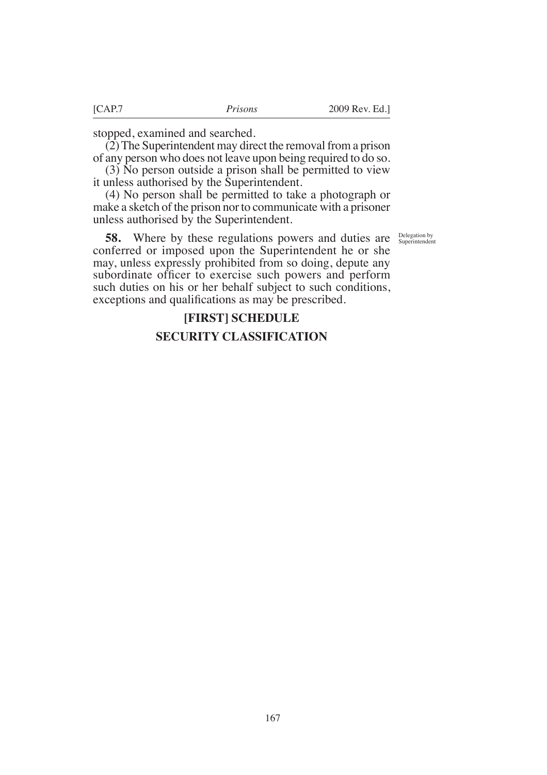stopped, examined and searched.

(2) The Superintendent may direct the removal from a prison of any person who does not leave upon being required to do so.

(3) No person outside a prison shall be permitted to view it unless authorised by the Superintendent.

(4) No person shall be permitted to take a photograph or make a sketch of the prison nor to communicate with a prisoner unless authorised by the Superintendent.

Delegation by Superintendent

**58.** Where by these regulations powers and duties are conferred or imposed upon the Superintendent he or she may, unless expressly prohibited from so doing, depute any subordinate officer to exercise such powers and perform such duties on his or her behalf subject to such conditions, exceptions and qualifcations as may be prescribed.

# **[FIRST] SCHEDULE SECURITY CLASSIFICATION**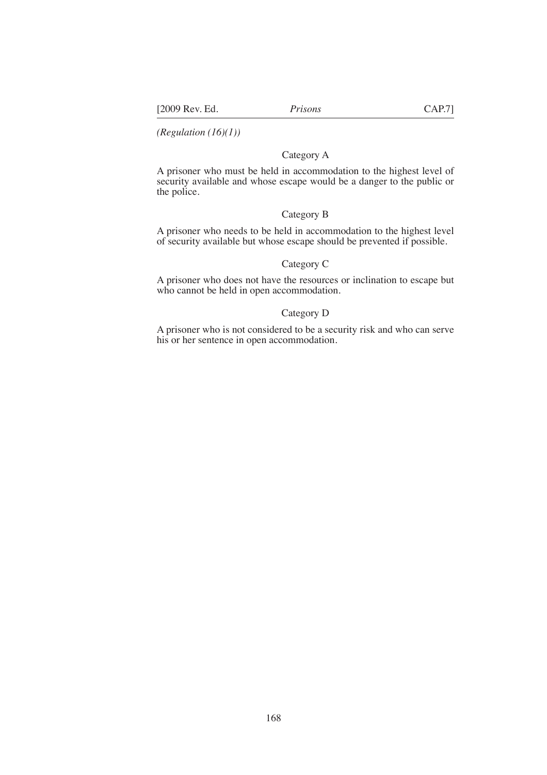*(Regulation (16)(1))* 

### Category A

A prisoner who must be held in accommodation to the highest level of security available and whose escape would be a danger to the public or the police.

### Category B

A prisoner who needs to be held in accommodation to the highest level of security available but whose escape should be prevented if possible.

### Category C

A prisoner who does not have the resources or inclination to escape but who cannot be held in open accommodation.

### Category D

A prisoner who is not considered to be a security risk and who can serve his or her sentence in open accommodation.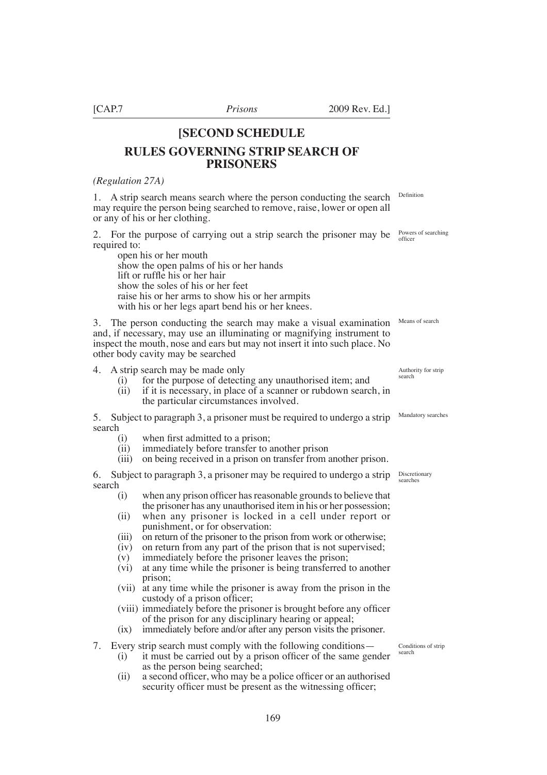### **[SECOND SCHEDULE**

# **RULES GOVERNING STRIP SEARCH OF PRISONERS**

### *(Regulation 27A)*

1. A strip search means search where the person conducting the search may require the person being searched to remove, raise, lower or open all or any of his or her clothing.

2. For the purpose of carrying out a strip search the prisoner may be required to:

open his or her mouth show the open palms of his or her hands lift or ruffe his or her hair show the soles of his or her feet raise his or her arms to show his or her armpits with his or her legs apart bend his or her knees.

3. The person conducting the search may make a visual examination Means of search and, if necessary, may use an illuminating or magnifying instrument to inspect the mouth, nose and ears but may not insert it into such place. No other body cavity may be searched

4. A strip search may be made only

- $(i)$  for the purpose of detecting any unauthorised item; and
- (ii) if it is necessary, in place of a scanner or rubdown search, in the particular circumstances involved.

5. Subject to paragraph 3, a prisoner must be required to undergo a strip search

- (i) when first admitted to a prison;<br>(ii) immediately before transfer to a
- immediately before transfer to another prison
- (iii) on being received in a prison on transfer from another prison.

6. Subject to paragraph 3, a prisoner may be required to undergo a strip search

- (i) when any prison officer has reasonable grounds to believe that the prisoner has any unauthorised item in his or her possession;
- (ii) when any prisoner is locked in a cell under report or punishment, or for observation:
- (iii) on return of the prisoner to the prison from work or otherwise;<br>(iv) on return from any part of the prison that is not supervised;
- (iv) on return from any part of the prison that is not supervised;<br>(v) immediately before the prisoner leaves the prison;
- immediately before the prisoner leaves the prison;
- (v) at any time while the prisoner is being transferred to another prison;
- (vii) at any time while the prisoner is away from the prison in the custody of a prison officer;
- (viii) immediately before the prisoner is brought before any officer of the prison for any disciplinary hearing or appeal;
- (ix) immediately before and/or after any person visits the prisoner.

7. Every strip search must comply with the following conditions—

- (i) it must be carried out by a prison offcer of the same gender as the person being searched;
	- (ii) a second officer, who may be a police officer or an authorised security officer must be present as the witnessing officer;

Definition

Powers of searching officer

Authority for strip search

Mandatory searches

Discretionary searches

Conditions of strip search